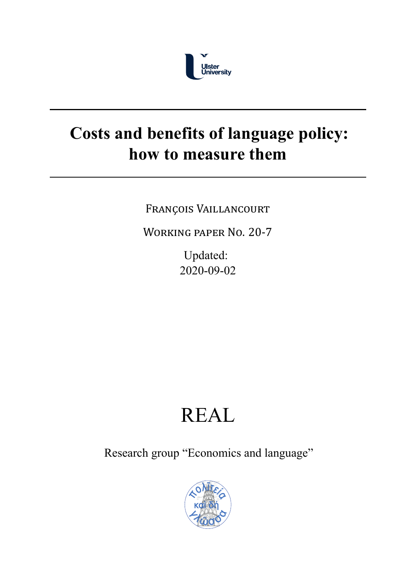

# **Costs and benefits of language policy: how to measure them**

FRANÇOIS VAILLANCOURT

WORKING PAPER NO. 20‐7

Updated: 2020-09-02

# REAL

Research group "Economics and language"

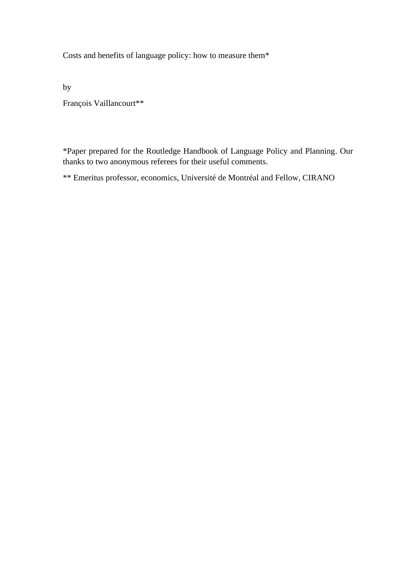Costs and benefits of language policy: how to measure them\*

by

François Vaillancourt\*\*

\*Paper prepared for the Routledge Handbook of Language Policy and Planning. Our thanks to two anonymous referees for their useful comments.

\*\* Emeritus professor, economics, Université de Montréal and Fellow, CIRANO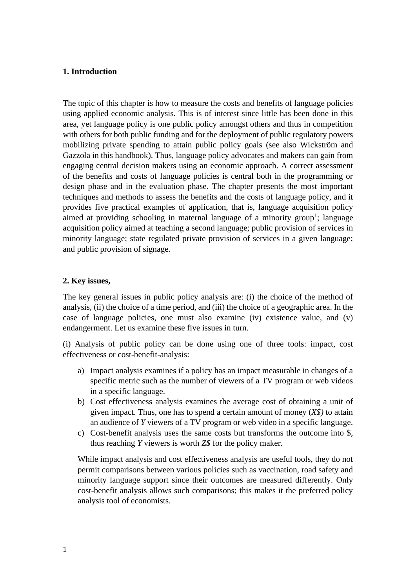#### **1. Introduction**

The topic of this chapter is how to measure the costs and benefits of language policies using applied economic analysis. This is of interest since little has been done in this area, yet language policy is one public policy amongst others and thus in competition with others for both public funding and for the deployment of public regulatory powers mobilizing private spending to attain public policy goals (see also Wickström and Gazzola in this handbook). Thus, language policy advocates and makers can gain from engaging central decision makers using an economic approach. A correct assessment of the benefits and costs of language policies is central both in the programming or design phase and in the evaluation phase. The chapter presents the most important techniques and methods to assess the benefits and the costs of language policy, and it provides five practical examples of application, that is, language acquisition policy aimed at providing schooling in maternal language of a minority group<sup>1</sup>; language acquisition policy aimed at teaching a second language; public provision of services in minority language; state regulated private provision of services in a given language; and public provision of signage.

#### **2. Key issues,**

The key general issues in public policy analysis are: (i) the choice of the method of analysis, (ii) the choice of a time period, and (iii) the choice of a geographic area. In the case of language policies, one must also examine (iv) existence value, and (v) endangerment. Let us examine these five issues in turn.

(i) Analysis of public policy can be done using one of three tools: impact, cost effectiveness or cost-benefit-analysis:

- a) Impact analysis examines if a policy has an impact measurable in changes of a specific metric such as the number of viewers of a TV program or web videos in a specific language.
- b) Cost effectiveness analysis examines the average cost of obtaining a unit of given impact. Thus, one has to spend a certain amount of money (*X\$)* to attain an audience of *Y* viewers of a TV program or web video in a specific language.
- c) Cost-benefit analysis uses the same costs but transforms the outcome into \$, thus reaching *Y* viewers is worth *Z\$* for the policy maker.

While impact analysis and cost effectiveness analysis are useful tools, they do not permit comparisons between various policies such as vaccination, road safety and minority language support since their outcomes are measured differently. Only cost-benefit analysis allows such comparisons; this makes it the preferred policy analysis tool of economists.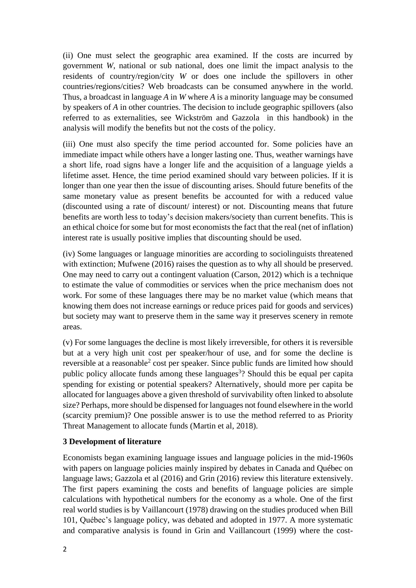(ii) One must select the geographic area examined. If the costs are incurred by government *W*, national or sub national, does one limit the impact analysis to the residents of country/region/city *W* or does one include the spillovers in other countries/regions/cities? Web broadcasts can be consumed anywhere in the world. Thus, a broadcast in language *A* in *W* where *A* is a minority language may be consumed by speakers of *A* in other countries. The decision to include geographic spillovers (also referred to as externalities, see Wickström and Gazzola in this handbook) in the analysis will modify the benefits but not the costs of the policy.

(iii) One must also specify the time period accounted for. Some policies have an immediate impact while others have a longer lasting one. Thus, weather warnings have a short life, road signs have a longer life and the acquisition of a language yields a lifetime asset. Hence, the time period examined should vary between policies. If it is longer than one year then the issue of discounting arises. Should future benefits of the same monetary value as present benefits be accounted for with a reduced value (discounted using a rate of discount/ interest) or not. Discounting means that future benefits are worth less to today's decision makers/society than current benefits. This is an ethical choice for some but for most economists the fact that the real (net of inflation) interest rate is usually positive implies that discounting should be used.

(iv) Some languages or language minorities are according to sociolinguists threatened with extinction; Mufwene (2016) raises the question as to why all should be preserved. One may need to carry out a contingent valuation (Carson, 2012) which is a technique to estimate the value of commodities or services when the price mechanism does not work. For some of these languages there may be no market value (which means that knowing them does not increase earnings or reduce prices paid for goods and services) but society may want to preserve them in the same way it preserves scenery in remote areas.

(v) For some languages the decline is most likely irreversible, for others it is reversible but at a very high unit cost per speaker/hour of use, and for some the decline is reversible at a reasonable<sup>2</sup> cost per speaker. Since public funds are limited how should public policy allocate funds among these languages<sup>3</sup>? Should this be equal per capita spending for existing or potential speakers? Alternatively, should more per capita be allocated for languages above a given threshold of survivability often linked to absolute size? Perhaps, more should be dispensed for languages not found elsewhere in the world (scarcity premium)? One possible answer is to use the method referred to as Priority Threat Management to allocate funds (Martin et al, 2018).

# **3 Development of literature**

Economists began examining language issues and language policies in the mid-1960s with papers on language policies mainly inspired by debates in Canada and Québec on language laws; Gazzola et al (2016) and Grin (2016) review this literature extensively. The first papers examining the costs and benefits of language policies are simple calculations with hypothetical numbers for the economy as a whole. One of the first real world studies is by Vaillancourt (1978) drawing on the studies produced when Bill 101, Québec's language policy, was debated and adopted in 1977. A more systematic and comparative analysis is found in Grin and Vaillancourt (1999) where the cost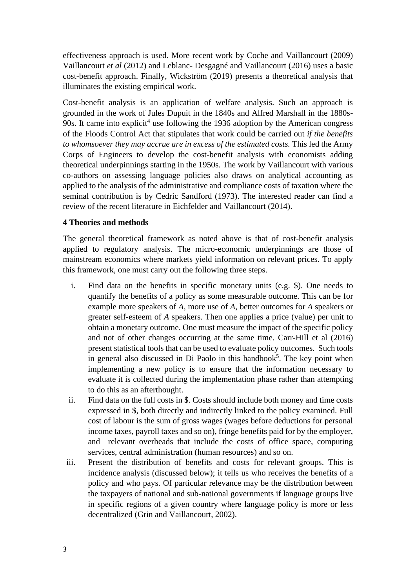effectiveness approach is used. More recent work by Coche and Vaillancourt (2009) Vaillancourt *et al* (2012) and Leblanc- Desgagné and Vaillancourt (2016) uses a basic cost-benefit approach. Finally, Wickström (2019) presents a theoretical analysis that illuminates the existing empirical work.

Cost-benefit analysis is an application of welfare analysis. Such an approach is grounded in the work of Jules Dupuit in the 1840s and Alfred Marshall in the 1880s-90s. It came into explicit<sup>4</sup> use following the 1936 adoption by the American congress of the Floods Control Act that stipulates that work could be carried out *if the benefits*  to whomsoever they may accrue are in excess of the estimated costs. This led the Army Corps of Engineers to develop the cost-benefit analysis with economists adding theoretical underpinnings starting in the 1950s. The work by Vaillancourt with various co-authors on assessing language policies also draws on analytical accounting as applied to the analysis of the administrative and compliance costs of taxation where the seminal contribution is by Cedric Sandford (1973). The interested reader can find a review of the recent literature in Eichfelder and Vaillancourt (2014).

#### **4 Theories and methods**

The general theoretical framework as noted above is that of cost-benefit analysis applied to regulatory analysis. The micro-economic underpinnings are those of mainstream economics where markets yield information on relevant prices. To apply this framework, one must carry out the following three steps.

- i. Find data on the benefits in specific monetary units (e.g. \$). One needs to quantify the benefits of a policy as some measurable outcome. This can be for example more speakers of *A*, more use of *A*, better outcomes for *A* speakers or greater self-esteem of *A* speakers. Then one applies a price (value) per unit to obtain a monetary outcome. One must measure the impact of the specific policy and not of other changes occurring at the same time. Carr-Hill et al (2016) present statistical tools that can be used to evaluate policy outcomes. Such tools in general also discussed in Di Paolo in this handbook<sup>5</sup>. The key point when implementing a new policy is to ensure that the information necessary to evaluate it is collected during the implementation phase rather than attempting to do this as an afterthought.
- ii. Find data on the full costs in \$. Costs should include both money and time costs expressed in \$, both directly and indirectly linked to the policy examined. Full cost of labour is the sum of gross wages (wages before deductions for personal income taxes, payroll taxes and so on), fringe benefits paid for by the employer, and relevant overheads that include the costs of office space, computing services, central administration (human resources) and so on.
- iii. Present the distribution of benefits and costs for relevant groups. This is incidence analysis (discussed below); it tells us who receives the benefits of a policy and who pays. Of particular relevance may be the distribution between the taxpayers of national and sub-national governments if language groups live in specific regions of a given country where language policy is more or less decentralized (Grin and Vaillancourt, 2002).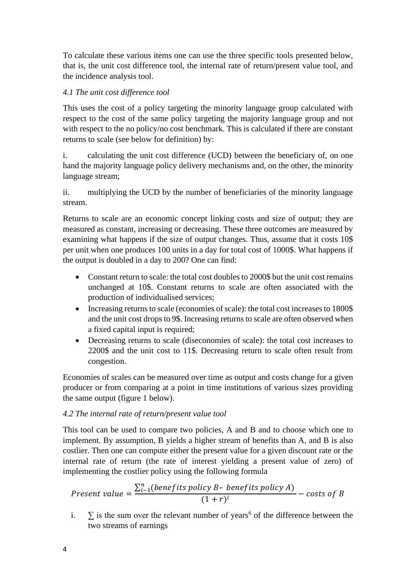To calculate these various items one can use the three specific tools presented below, that is, the unit cost difference tool, the internal rate of return/present value tool, and the incidence analysis tool.

# *4.1 The unit cost difference tool*

This uses the cost of a policy targeting the minority language group calculated with respect to the cost of the same policy targeting the majority language group and not with respect to the no policy/no cost benchmark. This is calculated if there are constant returns to scale (see below for definition) by:

i. calculating the unit cost difference (UCD) between the beneficiary of, on one hand the majority language policy delivery mechanisms and, on the other, the minority language stream;

ii. multiplying the UCD by the number of beneficiaries of the minority language stream.

Returns to scale are an economic concept linking costs and size of output; they are measured as constant, increasing or decreasing. These three outcomes are measured by examining what happens if the size of output changes. Thus, assume that it costs 10\$ per unit when one produces 100 units in a day for total cost of 1000\$. What happens if the output is doubled in a day to 200? One can find:

- Constant return to scale: the total cost doubles to 2000\$ but the unit cost remains unchanged at 10\$. Constant returns to scale are often associated with the production of individualised services;
- Increasing returns to scale (economies of scale): the total cost increases to 1800\$ and the unit cost drops to 9\$. Increasing returns to scale are often observed when a fixed capital input is required;
- Decreasing returns to scale (diseconomies of scale): the total cost increases to 2200\$ and the unit cost to 11\$. Decreasing return to scale often result from congestion.

Economies of scales can be measured over time as output and costs change for a given producer or from comparing at a point in time institutions of various sizes providing the same output (figure 1 below).

# *4.2 The internal rate of return/present value tool*

This tool can be used to compare two policies, A and B and to choose which one to implement. By assumption, B yields a higher stream of benefits than A, and B is also costlier. Then one can compute either the present value for a given discount rate or the internal rate of return (the rate of interest yielding a present value of zero) of implementing the costlier policy using the following formula

*Present value* = 
$$
\frac{\sum_{i=1}^{n} (benefits policy B - benefits policy A)}{(1+r)^{i}}
$$
 - costs of B

i.  $\sum$  is the sum over the relevant number of years<sup>6</sup> of the difference between the two streams of earnings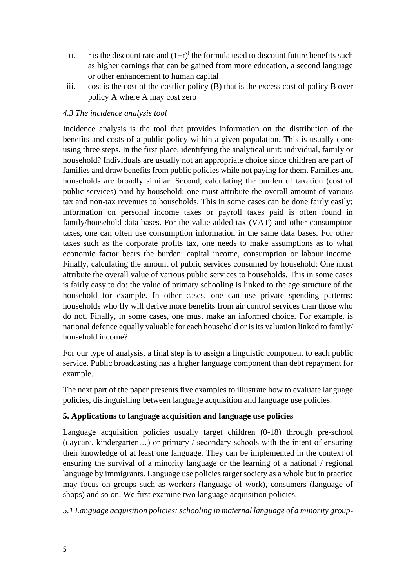- ii. r is the discount rate and  $(1+r)^{i}$  the formula used to discount future benefits such as higher earnings that can be gained from more education, a second language or other enhancement to human capital
- iii. cost is the cost of the costlier policy (B) that is the excess cost of policy B over policy A where A may cost zero

# *4.3 The incidence analysis tool*

Incidence analysis is the tool that provides information on the distribution of the benefits and costs of a public policy within a given population. This is usually done using three steps. In the first place, identifying the analytical unit: individual, family or household? Individuals are usually not an appropriate choice since children are part of families and draw benefits from public policies while not paying for them. Families and households are broadly similar. Second, calculating the burden of taxation (cost of public services) paid by household: one must attribute the overall amount of various tax and non-tax revenues to households. This in some cases can be done fairly easily; information on personal income taxes or payroll taxes paid is often found in family/household data bases. For the value added tax (VAT) and other consumption taxes, one can often use consumption information in the same data bases. For other taxes such as the corporate profits tax, one needs to make assumptions as to what economic factor bears the burden: capital income, consumption or labour income. Finally, calculating the amount of public services consumed by household: One must attribute the overall value of various public services to households. This in some cases is fairly easy to do: the value of primary schooling is linked to the age structure of the household for example. In other cases, one can use private spending patterns: households who fly will derive more benefits from air control services than those who do not. Finally, in some cases, one must make an informed choice. For example, is national defence equally valuable for each household or is its valuation linked to family/ household income?

For our type of analysis, a final step is to assign a linguistic component to each public service. Public broadcasting has a higher language component than debt repayment for example.

The next part of the paper presents five examples to illustrate how to evaluate language policies, distinguishing between language acquisition and language use policies.

# **5. Applications to language acquisition and language use policies**

Language acquisition policies usually target children (0-18) through pre-school (daycare, kindergarten…) or primary / secondary schools with the intent of ensuring their knowledge of at least one language. They can be implemented in the context of ensuring the survival of a minority language or the learning of a national / regional language by immigrants. Language use policies target society as a whole but in practice may focus on groups such as workers (language of work), consumers (language of shops) and so on. We first examine two language acquisition policies.

*5.1 Language acquisition policies: schooling in maternal language of a minority group-*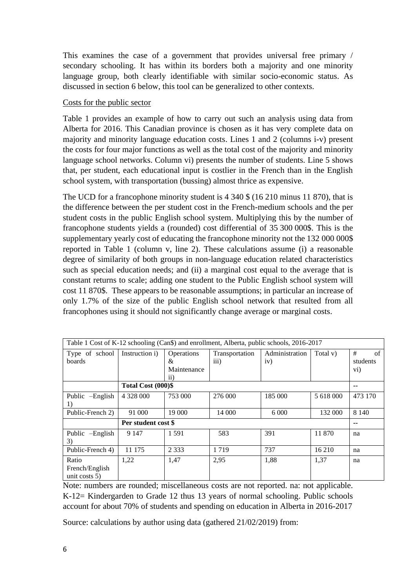This examines the case of a government that provides universal free primary / secondary schooling. It has within its borders both a majority and one minority language group, both clearly identifiable with similar socio-economic status. As discussed in section 6 below, this tool can be generalized to other contexts.

#### Costs for the public sector

Table 1 provides an example of how to carry out such an analysis using data from Alberta for 2016. This Canadian province is chosen as it has very complete data on majority and minority language education costs. Lines 1 and 2 (columns i-v) present the costs for four major functions as well as the total cost of the majority and minority language school networks. Column vi) presents the number of students. Line 5 shows that, per student, each educational input is costlier in the French than in the English school system, with transportation (bussing) almost thrice as expensive.

The UCD for a francophone minority student is 4 340 \$ (16 210 minus 11 870), that is the difference between the per student cost in the French-medium schools and the per student costs in the public English school system. Multiplying this by the number of francophone students yields a (rounded) cost differential of 35 300 000\$. This is the supplementary yearly cost of educating the francophone minority not the 132 000 000\$ reported in Table 1 (column v, line 2). These calculations assume (i) a reasonable degree of similarity of both groups in non-language education related characteristics such as special education needs; and (ii) a marginal cost equal to the average that is constant returns to scale; adding one student to the Public English school system will cost 11 870\$. These appears to be reasonable assumptions; in particular an increase of only 1.7% of the size of the public English school network that resulted from all francophones using it should not significantly change average or marginal costs.

| Table 1 Cost of K-12 schooling (Can\$) and enrollment, Alberta, public schools, 2016-2017 |                     |                 |                    |                |           |                      |
|-------------------------------------------------------------------------------------------|---------------------|-----------------|--------------------|----------------|-----------|----------------------|
| Type of school                                                                            | Instruction i)      | Operations      | Transportation     | Administration | Total v)  | #<br>of              |
| boards                                                                                    |                     | &               | $\overline{111}$ ) | iv)            |           | students             |
|                                                                                           |                     | Maintenance     |                    |                |           | $\rm \overline{vi})$ |
|                                                                                           |                     | $\overline{11}$ |                    |                |           |                      |
|                                                                                           | Total Cost (000)\$  |                 |                    |                |           | --                   |
| Public -English                                                                           | 4 3 2 8 0 0 0       | 753 000         | 276 000            | 185 000        | 5 618 000 | 473 170              |
| 1)                                                                                        |                     |                 |                    |                |           |                      |
| Public-French 2)                                                                          | 91 000              | 19 000          | 14 000             | 6 0 0 0        | 132 000   | 8 1 4 0              |
|                                                                                           | Per student cost \$ |                 |                    |                |           | --                   |
| $-$ English<br>Public                                                                     | 9 1 4 7             | 1 5 9 1         | 583                | 391            | 11 870    | na                   |
| 3)                                                                                        |                     |                 |                    |                |           |                      |
| Public-French 4)                                                                          | 11 175              | 2 3 3 3         | 1719               | 737            | 16 210    | na                   |
| Ratio                                                                                     | 1,22                | 1,47            | 2,95               | 1,88           | 1,37      | na                   |
| French/English                                                                            |                     |                 |                    |                |           |                      |
| unit costs $5$ )                                                                          |                     |                 |                    |                |           |                      |

Note: numbers are rounded; miscellaneous costs are not reported. na: not applicable. K-12= Kindergarden to Grade 12 thus 13 years of normal schooling. Public schools account for about 70% of students and spending on education in Alberta in 2016-2017

Source: calculations by author using data (gathered 21/02/2019) from: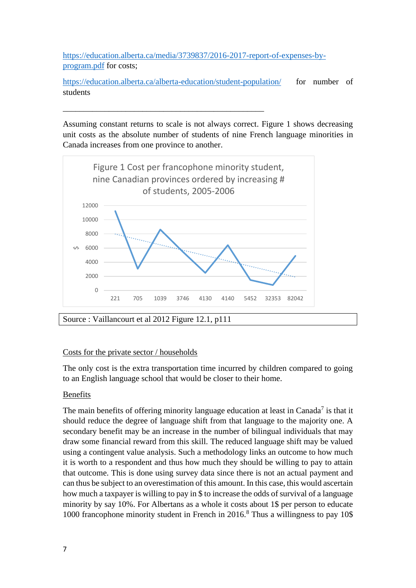[https://education.alberta.ca/media/3739837/2016-2017-report-of-expenses-by](https://education.alberta.ca/media/3739837/2016-2017-report-of-expenses-by-program.pdf)[program.pdf](https://education.alberta.ca/media/3739837/2016-2017-report-of-expenses-by-program.pdf) for costs;

\_\_\_\_\_\_\_\_\_\_\_\_\_\_\_\_\_\_\_\_\_\_\_\_\_\_\_\_\_\_\_\_\_\_\_\_\_\_\_\_\_\_\_\_\_\_\_\_

<https://education.alberta.ca/alberta-education/student-population/>for number of students

Assuming constant returns to scale is not always correct. Figure 1 shows decreasing unit costs as the absolute number of students of nine French language minorities in Canada increases from one province to another.



Costs for the private sector / households

The only cost is the extra transportation time incurred by children compared to going to an English language school that would be closer to their home.

# Benefits

The main benefits of offering minority language education at least in Canada<sup>7</sup> is that it should reduce the degree of language shift from that language to the majority one. A secondary benefit may be an increase in the number of bilingual individuals that may draw some financial reward from this skill. The reduced language shift may be valued using a contingent value analysis. Such a methodology links an outcome to how much it is worth to a respondent and thus how much they should be willing to pay to attain that outcome. This is done using survey data since there is not an actual payment and can thus be subject to an overestimation of this amount. In this case, this would ascertain how much a taxpayer is willing to pay in \$ to increase the odds of survival of a language minority by say 10%. For Albertans as a whole it costs about 1\$ per person to educate 1000 francophone minority student in French in  $2016$ .<sup>8</sup> Thus a willingness to pay 10\$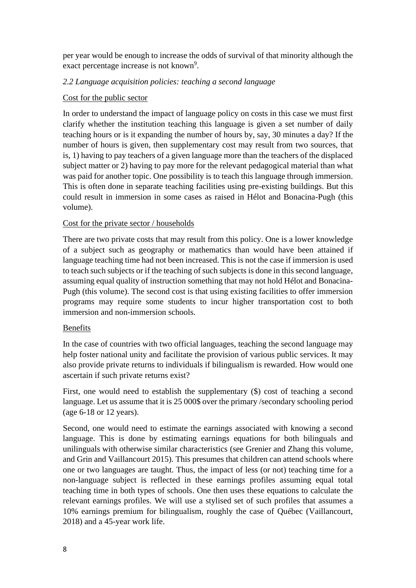per year would be enough to increase the odds of survival of that minority although the exact percentage increase is not known<sup>9</sup>.

# *2.2 Language acquisition policies: teaching a second language*

#### Cost for the public sector

In order to understand the impact of language policy on costs in this case we must first clarify whether the institution teaching this language is given a set number of daily teaching hours or is it expanding the number of hours by, say, 30 minutes a day? If the number of hours is given, then supplementary cost may result from two sources, that is, 1) having to pay teachers of a given language more than the teachers of the displaced subject matter or 2) having to pay more for the relevant pedagogical material than what was paid for another topic. One possibility is to teach this language through immersion. This is often done in separate teaching facilities using pre-existing buildings. But this could result in immersion in some cases as raised in Hélot and Bonacina-Pugh (this volume).

# Cost for the private sector / households

There are two private costs that may result from this policy. One is a lower knowledge of a subject such as geography or mathematics than would have been attained if language teaching time had not been increased. This is not the case if immersion is used to teach such subjects or if the teaching of such subjects is done in this second language, assuming equal quality of instruction something that may not hold Hélot and Bonacina-Pugh (this volume). The second cost is that using existing facilities to offer immersion programs may require some students to incur higher transportation cost to both immersion and non-immersion schools.

#### Benefits

In the case of countries with two official languages, teaching the second language may help foster national unity and facilitate the provision of various public services. It may also provide private returns to individuals if bilingualism is rewarded. How would one ascertain if such private returns exist?

First, one would need to establish the supplementary (\$) cost of teaching a second language. Let us assume that it is 25 000\$ over the primary /secondary schooling period (age 6-18 or 12 years).

Second, one would need to estimate the earnings associated with knowing a second language. This is done by estimating earnings equations for both bilinguals and unilinguals with otherwise similar characteristics (see Grenier and Zhang this volume, and Grin and Vaillancourt 2015). This presumes that children can attend schools where one or two languages are taught. Thus, the impact of less (or not) teaching time for a non-language subject is reflected in these earnings profiles assuming equal total teaching time in both types of schools. One then uses these equations to calculate the relevant earnings profiles. We will use a stylised set of such profiles that assumes a 10% earnings premium for bilingualism, roughly the case of Québec (Vaillancourt, 2018) and a 45-year work life.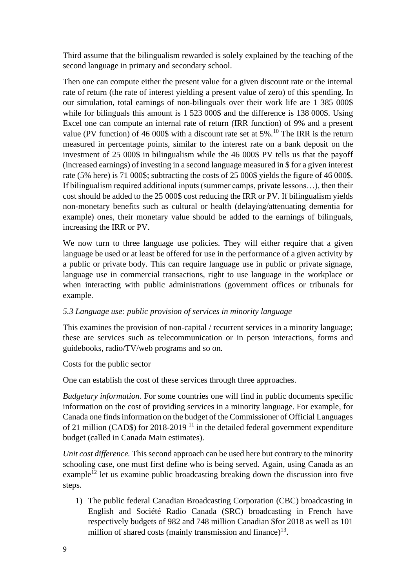Third assume that the bilingualism rewarded is solely explained by the teaching of the second language in primary and secondary school.

Then one can compute either the present value for a given discount rate or the internal rate of return (the rate of interest yielding a present value of zero) of this spending. In our simulation, total earnings of non-bilinguals over their work life are 1 385 000\$ while for bilinguals this amount is 1 523 000\$ and the difference is 138 000\$. Using Excel one can compute an internal rate of return (IRR function) of 9% and a present value (PV function) of 46 000\$ with a discount rate set at 5%.<sup>10</sup> The IRR is the return measured in percentage points, similar to the interest rate on a bank deposit on the investment of 25 000\$ in bilingualism while the 46 000\$ PV tells us that the payoff (increased earnings) of investing in a second language measured in \$ for a given interest rate (5% here) is 71 000\$; subtracting the costs of 25 000\$ yields the figure of 46 000\$. If bilingualism required additional inputs (summer camps, private lessons…), then their cost should be added to the 25 000\$ cost reducing the IRR or PV. If bilingualism yields non-monetary benefits such as cultural or health (delaying/attenuating dementia for example) ones, their monetary value should be added to the earnings of bilinguals, increasing the IRR or PV.

We now turn to three language use policies. They will either require that a given language be used or at least be offered for use in the performance of a given activity by a public or private body. This can require language use in public or private signage, language use in commercial transactions, right to use language in the workplace or when interacting with public administrations (government offices or tribunals for example.

# *5.3 Language use: public provision of services in minority language*

This examines the provision of non-capital / recurrent services in a minority language; these are services such as telecommunication or in person interactions, forms and guidebooks, radio/TV/web programs and so on.

# Costs for the public sector

One can establish the cost of these services through three approaches.

*Budgetary information*. For some countries one will find in public documents specific information on the cost of providing services in a minority language. For example, for Canada one finds information on the budget of the Commissioner of Official Languages of 21 million (CAD\$) for 2018-2019<sup>11</sup> in the detailed federal government expenditure budget (called in Canada Main estimates).

*Unit cost difference.* This second approach can be used here but contrary to the minority schooling case, one must first define who is being served. Again, using Canada as an example<sup>12</sup> let us examine public broadcasting breaking down the discussion into five steps.

1) The public federal Canadian Broadcasting Corporation (CBC) broadcasting in English and Société Radio Canada (SRC) broadcasting in French have respectively budgets of 982 and 748 million Canadian \$for 2018 as well as 101 million of shared costs (mainly transmission and finance) $13$ .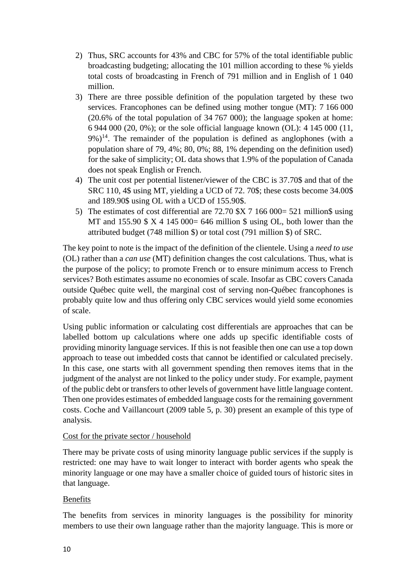- 2) Thus, SRC accounts for 43% and CBC for 57% of the total identifiable public broadcasting budgeting; allocating the 101 million according to these % yields total costs of broadcasting in French of 791 million and in English of 1 040 million.
- 3) There are three possible definition of the population targeted by these two services. Francophones can be defined using mother tongue (MT): 7 166 000 (20.6% of the total population of 34 767 000); the language spoken at home: 6 944 000 (20, 0%); or the sole official language known (OL): 4 145 000 (11,  $9\%)^{14}$ . The remainder of the population is defined as anglophones (with a population share of 79, 4%; 80, 0%; 88, 1% depending on the definition used) for the sake of simplicity; OL data shows that 1.9% of the population of Canada does not speak English or French.
- 4) The unit cost per potential listener/viewer of the CBC is 37.70\$ and that of the SRC 110, 4\$ using MT, yielding a UCD of 72. 70\$; these costs become 34.00\$ and 189.90\$ using OL with a UCD of 155.90\$.
- 5) The estimates of cost differential are 72.70 \$X 7 166 000= 521 million\$ using MT and 155.90  $\frac{1}{2}$  X 4 145 000= 646 million  $\frac{1}{2}$  using OL, both lower than the attributed budget (748 million \$) or total cost (791 million \$) of SRC.

The key point to note is the impact of the definition of the clientele. Using a *need to use* (OL) rather than a *can use* (MT) definition changes the cost calculations. Thus, what is the purpose of the policy; to promote French or to ensure minimum access to French services? Both estimates assume no economies of scale. Insofar as CBC covers Canada outside Québec quite well, the marginal cost of serving non-Québec francophones is probably quite low and thus offering only CBC services would yield some economies of scale.

Using public information or calculating cost differentials are approaches that can be labelled bottom up calculations where one adds up specific identifiable costs of providing minority language services. If this is not feasible then one can use a top down approach to tease out imbedded costs that cannot be identified or calculated precisely. In this case, one starts with all government spending then removes items that in the judgment of the analyst are not linked to the policy under study. For example, payment of the public debt or transfers to other levels of government have little language content. Then one provides estimates of embedded language costs for the remaining government costs. Coche and Vaillancourt (2009 table 5, p. 30) present an example of this type of analysis.

# Cost for the private sector / household

There may be private costs of using minority language public services if the supply is restricted: one may have to wait longer to interact with border agents who speak the minority language or one may have a smaller choice of guided tours of historic sites in that language.

# Benefits

The benefits from services in minority languages is the possibility for minority members to use their own language rather than the majority language. This is more or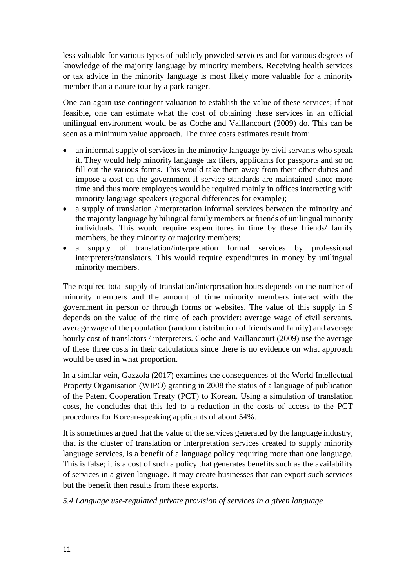less valuable for various types of publicly provided services and for various degrees of knowledge of the majority language by minority members. Receiving health services or tax advice in the minority language is most likely more valuable for a minority member than a nature tour by a park ranger.

One can again use contingent valuation to establish the value of these services; if not feasible, one can estimate what the cost of obtaining these services in an official unilingual environment would be as Coche and Vaillancourt (2009) do. This can be seen as a minimum value approach. The three costs estimates result from:

- an informal supply of services in the minority language by civil servants who speak it. They would help minority language tax filers, applicants for passports and so on fill out the various forms. This would take them away from their other duties and impose a cost on the government if service standards are maintained since more time and thus more employees would be required mainly in offices interacting with minority language speakers (regional differences for example);
- a supply of translation /interpretation informal services between the minority and the majority language by bilingual family members or friends of unilingual minority individuals. This would require expenditures in time by these friends/ family members, be they minority or majority members;
- a supply of translation/interpretation formal services by professional interpreters/translators. This would require expenditures in money by unilingual minority members.

The required total supply of translation/interpretation hours depends on the number of minority members and the amount of time minority members interact with the government in person or through forms or websites. The value of this supply in \$ depends on the value of the time of each provider: average wage of civil servants, average wage of the population (random distribution of friends and family) and average hourly cost of translators / interpreters. Coche and Vaillancourt (2009) use the average of these three costs in their calculations since there is no evidence on what approach would be used in what proportion.

In a similar vein, Gazzola (2017) examines the consequences of the World Intellectual Property Organisation (WIPO) granting in 2008 the status of a language of publication of the Patent Cooperation Treaty (PCT) to Korean. Using a simulation of translation costs, he concludes that this led to a reduction in the costs of access to the PCT procedures for Korean-speaking applicants of about 54%.

It is sometimes argued that the value of the services generated by the language industry, that is the cluster of translation or interpretation services created to supply minority language services, is a benefit of a language policy requiring more than one language. This is false; it is a cost of such a policy that generates benefits such as the availability of services in a given language. It may create businesses that can export such services but the benefit then results from these exports.

*5.4 Language use-regulated private provision of services in a given language*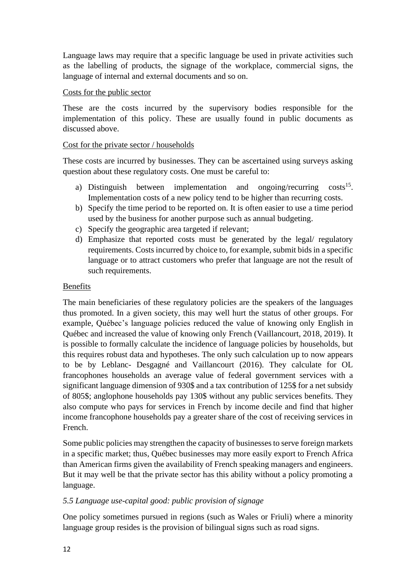Language laws may require that a specific language be used in private activities such as the labelling of products, the signage of the workplace, commercial signs, the language of internal and external documents and so on.

#### Costs for the public sector

These are the costs incurred by the supervisory bodies responsible for the implementation of this policy. These are usually found in public documents as discussed above.

#### Cost for the private sector / households

These costs are incurred by businesses. They can be ascertained using surveys asking question about these regulatory costs. One must be careful to:

- a) Distinguish between implementation and ongoing/recurring costs<sup>15</sup>. Implementation costs of a new policy tend to be higher than recurring costs.
- b) Specify the time period to be reported on. It is often easier to use a time period used by the business for another purpose such as annual budgeting.
- c) Specify the geographic area targeted if relevant;
- d) Emphasize that reported costs must be generated by the legal/ regulatory requirements. Costs incurred by choice to, for example, submit bids in a specific language or to attract customers who prefer that language are not the result of such requirements.

#### Benefits

The main beneficiaries of these regulatory policies are the speakers of the languages thus promoted. In a given society, this may well hurt the status of other groups. For example, Québec's language policies reduced the value of knowing only English in Québec and increased the value of knowing only French (Vaillancourt, 2018, 2019). It is possible to formally calculate the incidence of language policies by households, but this requires robust data and hypotheses. The only such calculation up to now appears to be by Leblanc- Desgagné and Vaillancourt (2016). They calculate for OL francophones households an average value of federal government services with a significant language dimension of 930\$ and a tax contribution of 125\$ for a net subsidy of 805\$; anglophone households pay 130\$ without any public services benefits. They also compute who pays for services in French by income decile and find that higher income francophone households pay a greater share of the cost of receiving services in French.

Some public policies may strengthen the capacity of businesses to serve foreign markets in a specific market; thus, Québec businesses may more easily export to French Africa than American firms given the availability of French speaking managers and engineers. But it may well be that the private sector has this ability without a policy promoting a language.

# *5.5 Language use-capital good: public provision of signage*

One policy sometimes pursued in regions (such as Wales or Friuli) where a minority language group resides is the provision of bilingual signs such as road signs.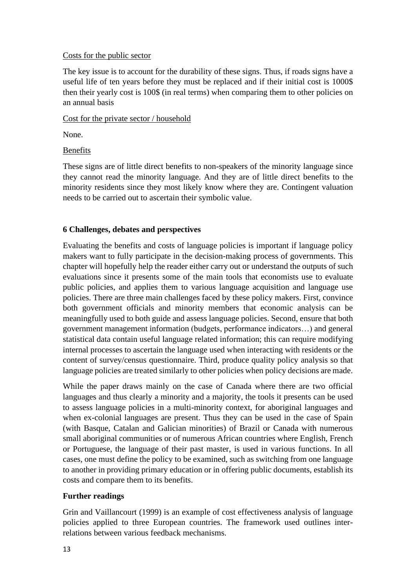#### Costs for the public sector

The key issue is to account for the durability of these signs. Thus, if roads signs have a useful life of ten years before they must be replaced and if their initial cost is 1000\$ then their yearly cost is 100\$ (in real terms) when comparing them to other policies on an annual basis

# Cost for the private sector / household

None.

# Benefits

These signs are of little direct benefits to non-speakers of the minority language since they cannot read the minority language. And they are of little direct benefits to the minority residents since they most likely know where they are. Contingent valuation needs to be carried out to ascertain their symbolic value.

# **6 Challenges, debates and perspectives**

Evaluating the benefits and costs of language policies is important if language policy makers want to fully participate in the decision-making process of governments. This chapter will hopefully help the reader either carry out or understand the outputs of such evaluations since it presents some of the main tools that economists use to evaluate public policies, and applies them to various language acquisition and language use policies. There are three main challenges faced by these policy makers. First, convince both government officials and minority members that economic analysis can be meaningfully used to both guide and assess language policies. Second, ensure that both government management information (budgets, performance indicators…) and general statistical data contain useful language related information; this can require modifying internal processes to ascertain the language used when interacting with residents or the content of survey/census questionnaire. Third, produce quality policy analysis so that language policies are treated similarly to other policies when policy decisions are made.

While the paper draws mainly on the case of Canada where there are two official languages and thus clearly a minority and a majority, the tools it presents can be used to assess language policies in a multi-minority context, for aboriginal languages and when ex-colonial languages are present. Thus they can be used in the case of Spain (with Basque, Catalan and Galician minorities) of Brazil or Canada with numerous small aboriginal communities or of numerous African countries where English, French or Portuguese, the language of their past master, is used in various functions. In all cases, one must define the policy to be examined, such as switching from one language to another in providing primary education or in offering public documents, establish its costs and compare them to its benefits.

# **Further readings**

Grin and Vaillancourt (1999) is an example of cost effectiveness analysis of language policies applied to three European countries. The framework used outlines interrelations between various feedback mechanisms.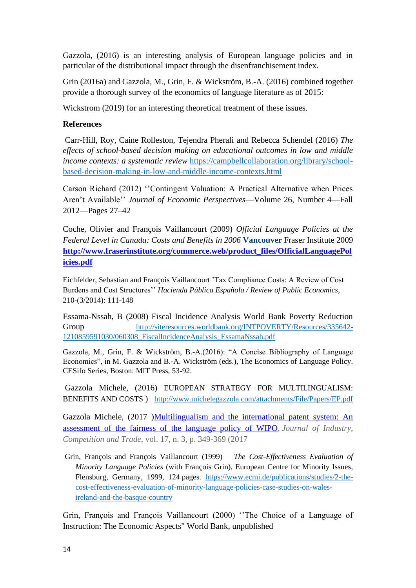Gazzola, (2016) is an interesting analysis of European language policies and in particular of the distributional impact through the disenfranchisement index.

Grin (2016a) and Gazzola, M., Grin, F. & Wickström, B.-A. (2016) combined together provide a thorough survey of the economics of language literature as of 2015:

Wickstrom (2019) for an interesting theoretical treatment of these issues.

#### **References**

Carr-Hill, Roy, Caine Rolleston, Tejendra Pherali and Rebecca Schendel (2016) *The effects of school-based decision making on educational outcomes in low and middle income contexts: a systematic review* [https://campbellcollaboration.org/library/school](https://campbellcollaboration.org/library/school-based-decision-making-in-low-and-middle-income-contexts.html)[based-decision-making-in-low-and-middle-income-contexts.html](https://campbellcollaboration.org/library/school-based-decision-making-in-low-and-middle-income-contexts.html)

Carson Richard (2012) ''Contingent Valuation: A Practical Alternative when Prices Aren't Available'' *Journal of Economic Perspectives*—Volume 26, Number 4—Fall 2012—Pages 27–42

Coche, Olivier and François Vaillancourt (2009) *Official Language Policies at the Federal Level in Canada: Costs and Benefits in 2006* **Vancouver** Fraser Institute 2009 **[http://www.fraserinstitute.org/commerce.web/product\\_files/OfficialLanguagePol](http://www.fraserinstitute.org/commerce.web/product_files/OfficialLanguagePolicies.pdf) [icies.pdf](http://www.fraserinstitute.org/commerce.web/product_files/OfficialLanguagePolicies.pdf)**

Eichfelder, Sebastian and François Vaillancourt 'Tax Compliance Costs: A Review of Cost Burdens and Cost Structures'' *Hacienda Pública Española / Review of Public Economics,* 210-(3/2014): 111-148

Essama-Nssah, B (2008) Fiscal Incidence Analysis World Bank Poverty Reduction Group [http://siteresources.worldbank.org/INTPOVERTY/Resources/335642-](http://siteresources.worldbank.org/INTPOVERTY/Resources/335642-1210859591030/060308_FiscalIncidenceAnalysis_EssamaNssah.pdf) [1210859591030/060308\\_FiscalIncidenceAnalysis\\_EssamaNssah.pdf](http://siteresources.worldbank.org/INTPOVERTY/Resources/335642-1210859591030/060308_FiscalIncidenceAnalysis_EssamaNssah.pdf)

Gazzola, M., Grin, F. & Wickström, B.-A.(2016): "A Concise Bibliography of Language Economics", in M. Gazzola and B.-A. Wickström (eds.), The Economics of Language Policy. CESifo Series, Boston: MIT Press, 53-92.

Gazzola Michele, (2016) EUROPEAN STRATEGY FOR MULTILINGUALISM: BENEFITS AND COSTS )<http://www.michelegazzola.com/attachments/File/Papers/EP.pdf>

Gazzola Michele, (2017 [\)Multilingualism and the international patent system: An](https://link.springer.com/article/10.1007/s10842-016-0239-7?no-access=true)  [assessment of the fairness of the language policy of WIPO,](https://link.springer.com/article/10.1007/s10842-016-0239-7?no-access=true) *Journal of Industry, Competition and Trade,* vol. 17, n. 3, p. 349-369 (2017

Grin, François and François Vaillancourt (1999) *The Cost-Effectiveness Evaluation of Minority Language Policies* (with François Grin), European Centre for Minority Issues, Flensburg, Germany, 1999, 124 pages. [https://www.ecmi.de/publications/studies/2-the](https://www.ecmi.de/publications/studies/2-the-cost-effectiveness-evaluation-of-minority-language-policies-case-studies-on-wales-ireland-and-the-basque-country)[cost-effectiveness-evaluation-of-minority-language-policies-case-studies-on-wales](https://www.ecmi.de/publications/studies/2-the-cost-effectiveness-evaluation-of-minority-language-policies-case-studies-on-wales-ireland-and-the-basque-country)[ireland-and-the-basque-country](https://www.ecmi.de/publications/studies/2-the-cost-effectiveness-evaluation-of-minority-language-policies-case-studies-on-wales-ireland-and-the-basque-country)

Grin, François and François Vaillancourt (2000) ''The Choice of a Language of Instruction: The Economic Aspects" World Bank, unpublished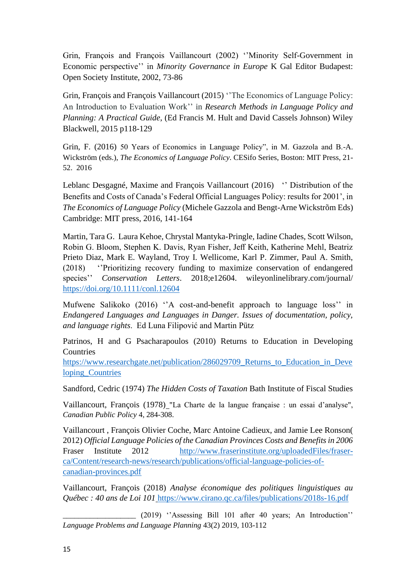Grin, François and François Vaillancourt (2002) ''Minority Self-Government in Economic perspective'' in *Minority Governance in Europe* K Gal Editor Budapest: Open Society Institute, 2002, 73-86

Grin, François and François Vaillancourt (2015) 'The Economics of Language Policy: An Introduction to Evaluation Work'' in *Research Methods in Language Policy and Planning: A Practical Guide*, (Ed Francis M. Hult and David Cassels Johnson) Wiley Blackwell, 2015 p118-129

Grin, F. (2016) 50 Years of Economics in Language Policy", in M. Gazzola and B.-A. Wickström (eds.), *The Economics of Language Policy*. CESifo Series, Boston: MIT Press, 21- 52. 2016

Leblanc Desgagné, Maxime and François Vaillancourt (2016) '' Distribution of the Benefits and Costs of Canada's Federal Official Languages Policy: results for 2001', in *The Economics of Language Policy* (Michele Gazzola and Bengt-Arne Wickstrõm Eds) Cambridge: MIT press, 2016, 141-164

Martin, Tara G. Laura Kehoe, Chrystal Mantyka-Pringle, Iadine Chades, Scott Wilson, Robin G. Bloom, Stephen K. Davis, Ryan Fisher, Jeff Keith, Katherine Mehl, Beatriz Prieto Diaz, Mark E. Wayland, Troy I. Wellicome, Karl P. Zimmer, Paul A. Smith, (2018) ''Prioritizing recovery funding to maximize conservation of endangered species'' *Conservation Letters*. 2018;e12604. wileyonlinelibrary.com/journal/ <https://doi.org/10.1111/conl.12604>

Mufwene Salikoko (2016) ''A cost-and-benefit approach to language loss'' in *Endangered Languages and Languages in Danger. Issues of documentation, policy, and language rights*. Ed Luna Filipović and Martin Pütz

Patrinos, H and G Psacharapoulos (2010) Returns to Education in Developing **Countries** 

[https://www.researchgate.net/publication/286029709\\_Returns\\_to\\_Education\\_in\\_Deve](https://www.researchgate.net/publication/286029709_Returns_to_Education_in_Developing_Countries) [loping\\_Countries](https://www.researchgate.net/publication/286029709_Returns_to_Education_in_Developing_Countries)

Sandford, Cedric (1974) *The Hidden Costs of Taxation* Bath Institute of Fiscal Studies

Vaillancourt, François (1978) "La Charte de la langue française : un essai d'analyse", *Canadian Public Policy* 4, 284-308.

Vaillancourt , François Olivier Coche, Marc Antoine Cadieux, and Jamie Lee Ronson( 2012) *Official Language Policies of the Canadian Provinces Costs and Benefits in 2006* Fraser Institute 2012 [http://www.fraserinstitute.org/uploadedFiles/fraser](http://www.fraserinstitute.org/uploadedFiles/fraser-ca/Content/research-news/research/publications/official-language-policies-of-canadian-provinces.pdf)[ca/Content/research-news/research/publications/official-language-policies-of](http://www.fraserinstitute.org/uploadedFiles/fraser-ca/Content/research-news/research/publications/official-language-policies-of-canadian-provinces.pdf)[canadian-provinces.pdf](http://www.fraserinstitute.org/uploadedFiles/fraser-ca/Content/research-news/research/publications/official-language-policies-of-canadian-provinces.pdf)

Vaillancourt, François (2018) *Analyse économique des politiques linguistiques au Québec : 40 ans de Loi 101* <https://www.cirano.qc.ca/files/publications/2018s-16.pdf>

\_\_\_\_\_\_\_\_\_\_\_\_\_\_\_\_\_\_\_ (2019) ''Assessing Bill 101 after 40 years; An Introduction'' *Language Problems and Language Planning* 43(2) 2019, 103-112